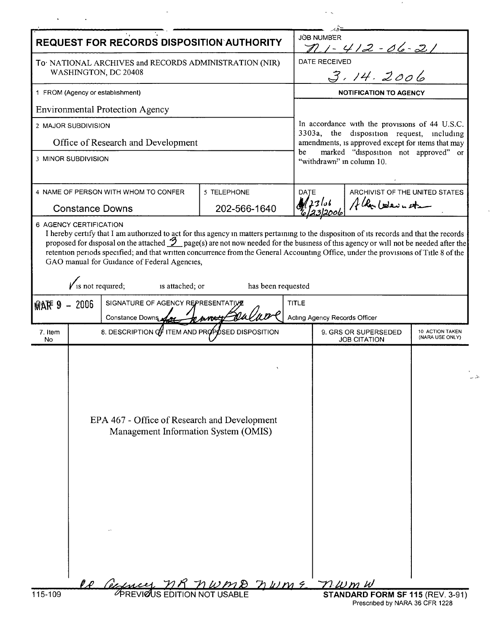l,

 $\epsilon$ 

 $\hat{\mathcal{S}}$  is  $\mathcal{L}$ 

|                                                                               |                                                      | <b>REQUEST FOR RECORDS DISPOSITION AUTHORITY</b>                                                      |                                      | <b>JÖB NUMBER</b><br>$11 - 412 - 06 - 21$ |                                                                                                                                                                                                                             |  |  |
|-------------------------------------------------------------------------------|------------------------------------------------------|-------------------------------------------------------------------------------------------------------|--------------------------------------|-------------------------------------------|-----------------------------------------------------------------------------------------------------------------------------------------------------------------------------------------------------------------------------|--|--|
| To NATIONAL ARCHIVES and RECORDS ADMINISTRATION (NIR)<br>WASHINGTON, DC 20408 |                                                      |                                                                                                       |                                      |                                           | DATE RECEIVED<br>3.14.2006                                                                                                                                                                                                  |  |  |
|                                                                               |                                                      |                                                                                                       |                                      |                                           |                                                                                                                                                                                                                             |  |  |
| 1 FROM (Agency or establishment)                                              |                                                      |                                                                                                       |                                      |                                           | <b>NOTIFICATION TO AGENCY</b>                                                                                                                                                                                               |  |  |
|                                                                               |                                                      | <b>Environmental Protection Agency</b>                                                                |                                      |                                           |                                                                                                                                                                                                                             |  |  |
| 2 MAJOR SUBDIVISION                                                           |                                                      |                                                                                                       |                                      |                                           | In accordance with the provisions of 44 U.S.C.<br>3303a, the disposition request, including<br>amendments, is approved except for items that may<br>marked "disposition not approved" or<br>be<br>"withdrawn" in column 10. |  |  |
| Office of Research and Development                                            |                                                      |                                                                                                       |                                      |                                           |                                                                                                                                                                                                                             |  |  |
| 3 MINOR SUBDIVISION                                                           |                                                      |                                                                                                       |                                      |                                           |                                                                                                                                                                                                                             |  |  |
| 4 NAME OF PERSON WITH WHOM TO CONFER                                          |                                                      |                                                                                                       | 5 TELEPHONE                          | ARCHIVIST OF THE UNITED STATES<br>DATE    |                                                                                                                                                                                                                             |  |  |
| <b>Constance Downs</b>                                                        |                                                      |                                                                                                       | 202-566-1640                         |                                           | Albertosaunota                                                                                                                                                                                                              |  |  |
| <b>MAF 9 - 2006</b>                                                           | $\sqrt{\ }$ is not required;                         | GAO manual for Guidance of Federal Agencies,<br>is attached; or<br>SIGNATURE OF AGENCY REPRESENTATIVE | has been requested                   | TITLE                                     |                                                                                                                                                                                                                             |  |  |
|                                                                               | Constance Downs<br>parott                            |                                                                                                       |                                      |                                           | Acting Agency Records Officer<br>10 ACTION TAKEN                                                                                                                                                                            |  |  |
| 7. Item<br>No.                                                                | 8. DESCRIPTION $q_f^T$ ITEM AND PROPOSED DISPOSITION |                                                                                                       |                                      |                                           | 9. GRS OR SUPERSEDED<br>(NARA USE ONLY)<br><b>JOB CITATION</b>                                                                                                                                                              |  |  |
|                                                                               | EPA 467 - Office of Research and Development         |                                                                                                       | Management Information System (OMIS) |                                           |                                                                                                                                                                                                                             |  |  |
| 115-109                                                                       |                                                      | <u>De Gesences MR MWMD DWM E TRWMW</u><br>PREVIOUS EDITION NOT USABLE STANDARD F                      |                                      |                                           | STANDARD FORM SF 115 (REV. 3-91)                                                                                                                                                                                            |  |  |

 $\overline{\phantom{a}}$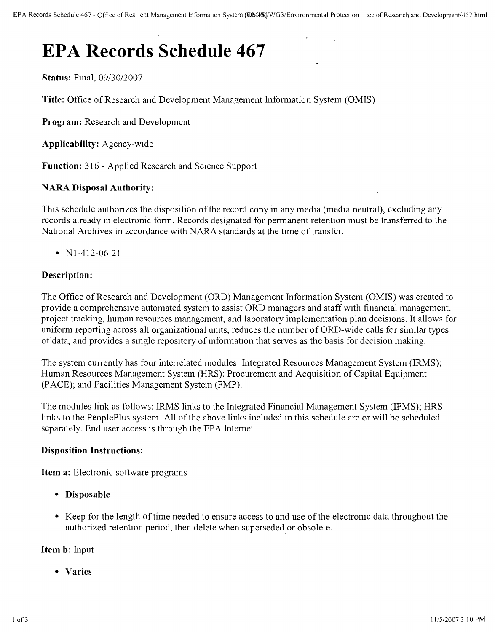# **EPA Records Schedule 467**

**Status:** Fmal, *09/30/2007*

**Title:** Office of Research and Development Management Information System (OMIS)

**Program:** Research and Development

**Applicability:** Agency-wide

Function: 316 - Applied Research and Science Support

# **NARA Disposal Authority:**

This schedule authorizes the disposition of the record copy in any media (media neutral), excluding any records already in electronic form. Records designated for permanent retention must be transferred to the National Archives in accordance with NARA standards at the time of transfer.

•  $N1-412-06-21$ 

# **Description:**

The Office of Research and Development (ORD) Management Information System (OMIS) was created to provide a comprehensive automated system to assist ORD managers and staff WIth financial management, project tracking, human resources management, and laboratory implementation plan decisions, It allows for uniform reporting across all organizational units, reduces the number of ORD-wide calls for similar types of data, and provides a smgle repository of information that serves as the basis for decision making.

The system currently has four interrelated modules: Integrated Resources Management System (IRMS); Human Resources Management System (HRS); Procurement and Acquisition of Capital Equipment (PACE); and Facilities Management System (FMP).

The modules link as follows: IRMS links to the Integrated Financial Management System (IFMS); HRS links to the PeoplePlus system. All of the above links included m this schedule are or will be scheduled separately. End user access is through the EPA Internet.

#### **Disposition Instructions:**

**Item a:** Electronic software programs

- **Disposable**
- Keep for the length of time needed to ensure access to and use of the electromc data throughout the authorized retention period, then delete when superseded or obsolete.

#### **Item b:** Input

**• Varies**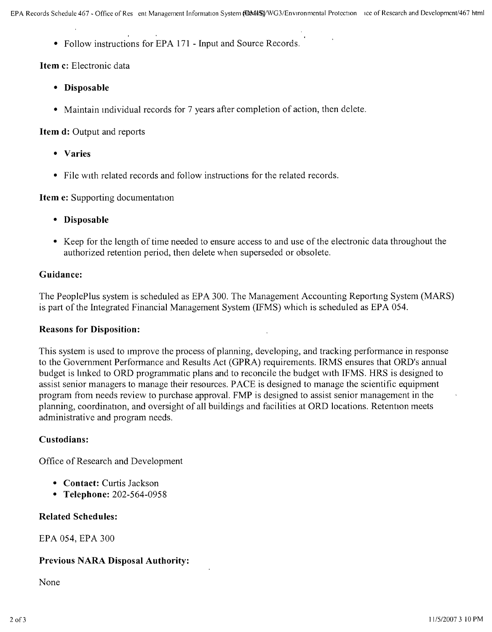• Follow instructions for EPA 171 - Input and Source Records.

# **Item c:** Electronic data

- **Disposable**
- Maintain individual records for 7 years after completion of action, then delete.

# **Item d:** Output and reports

- **Varies**
- File with related records and follow instructions for the related records.

**Item e:** Supporting documentation

- **Disposable**
- Keep for the length of time needed to ensure access to and use of the electronic data throughout the authorized retention period, then delete when superseded or obsolete.

# **Guidance:**

The PeoplePlus system is scheduled as EPA 300. The Management Accounting Reporting System (MARS) is part of the Integrated Financial Management System (IFMS) which is scheduled as EPA 054.

# **Reasons for Disposition:**

This system is used to Improve the process of planning, developing, and tracking performance in response to the Government Performance and Results Act (GPRA) requirements. IRMS ensures that ORD's annual budget is hnked to ORD programmatic plans and to reconcile the budget WIth IFMS. HRS is designed to assist senior managers to manage their resources. PACE is designed to manage the scientific equipment program from needs review to purchase approval. FMP is designed to assist senior management in the planning, coordination, and oversight of all buildings and facilities at ORD locations. Retention meets administrative and program needs.

# **Custodians:**

Office of Research and Development

- **Contact:** Curtis Jackson
- **Telephone:** 202-564-0958

# **Related Schedules:**

EPA 054, EPA 300

# **Previous NARA Disposal Authority:**

None